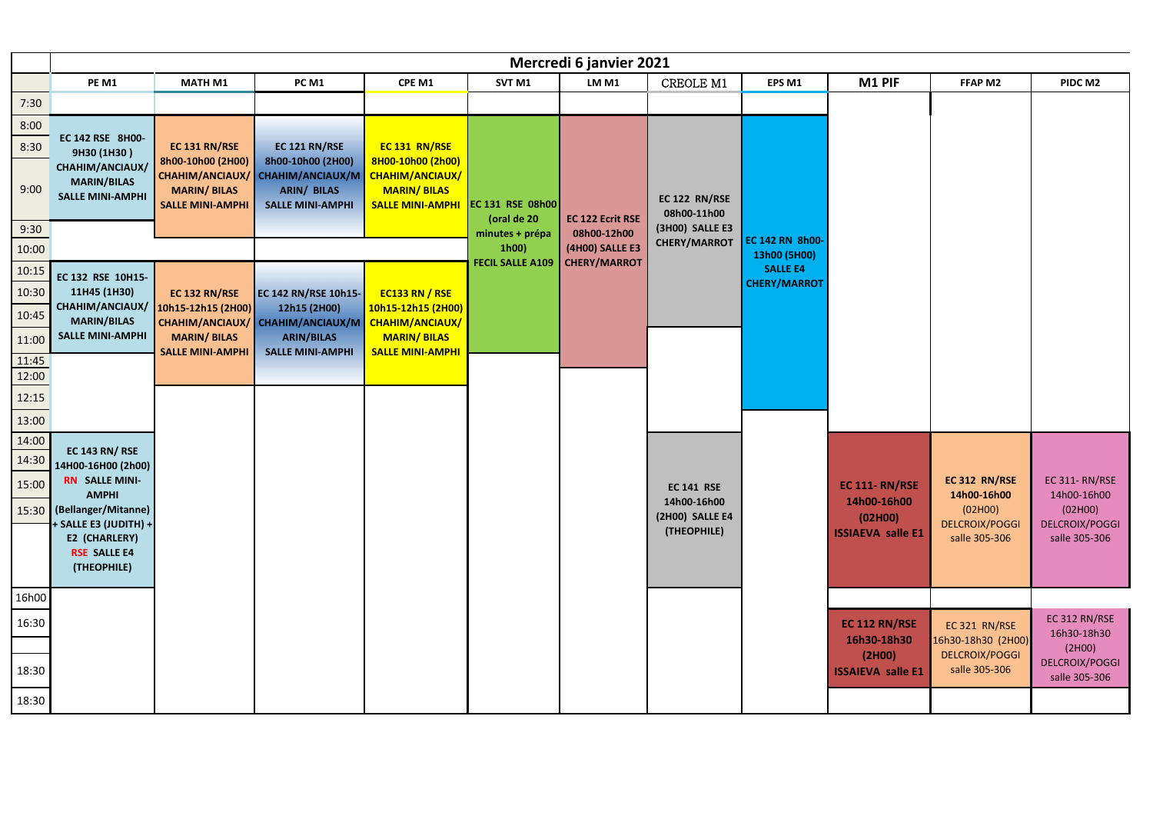|                       | Mercredi 6 janvier 2021                                          |                                                                    |                                                                                                        |                                                                                       |                                  |                                               |                                        |                                        |                              |                                        |                                        |
|-----------------------|------------------------------------------------------------------|--------------------------------------------------------------------|--------------------------------------------------------------------------------------------------------|---------------------------------------------------------------------------------------|----------------------------------|-----------------------------------------------|----------------------------------------|----------------------------------------|------------------------------|----------------------------------------|----------------------------------------|
|                       | PE M1                                                            | <b>MATH M1</b>                                                     | <b>PC M1</b>                                                                                           | CPE M1                                                                                | SVT <sub>M1</sub>                | LM M1                                         | CREOLE M1                              | EPS <sub>M1</sub>                      | M1 PIF                       | FFAP M2                                | PIDC M2                                |
| 7:30                  |                                                                  |                                                                    |                                                                                                        |                                                                                       |                                  |                                               |                                        |                                        |                              |                                        |                                        |
| 8:00                  |                                                                  |                                                                    |                                                                                                        |                                                                                       |                                  |                                               |                                        |                                        |                              |                                        |                                        |
| 8:30                  | EC 142 RSE 8H00-<br>9H30 (1H30)                                  | EC 131 RN/RSE                                                      | EC 121 RN/RSE                                                                                          | EC 131 RN/RSE                                                                         |                                  |                                               |                                        |                                        |                              |                                        |                                        |
| 9:00                  | CHAHIM/ANCIAUX/<br><b>MARIN/BILAS</b><br><b>SALLE MINI-AMPHI</b> | 8h00-10h00 (2H00)<br><b>MARIN/BILAS</b><br><b>SALLE MINI-AMPHI</b> | 8h00-10h00 (2H00)<br>CHAHIM/ANCIAUX/ CHAHIM/ANCIAUX/M<br><b>ARIN/ BILAS</b><br><b>SALLE MINI-AMPHI</b> | 8H00-10h00 (2h00)<br>CHAHIM/ANCIAUX/<br><b>MARIN/BILAS</b><br><b>SALLE MINI-AMPHI</b> | EC 131 RSE 08h00<br>(oral de 20  | <b>EC 122 Ecrit RSE</b>                       | EC 122 RN/RSE<br>08h00-11h00           |                                        |                              |                                        |                                        |
| 9:30                  |                                                                  |                                                                    |                                                                                                        |                                                                                       | minutes + prépa                  | 08h00-12h00                                   | (3H00) SALLE E3<br><b>CHERY/MARROT</b> | EC 142 RN 8h00-                        |                              |                                        |                                        |
| 10:00                 |                                                                  |                                                                    |                                                                                                        |                                                                                       | 1h00)<br><b>FECIL SALLE A109</b> | <b>(4H00) SALLE E3</b><br><b>CHERY/MARROT</b> |                                        | 13h00 (5H00)                           |                              |                                        |                                        |
| 10:15                 | EC 132 RSE 10H15-                                                |                                                                    |                                                                                                        |                                                                                       |                                  |                                               |                                        | <b>SALLE E4</b><br><b>CHERY/MARROT</b> |                              |                                        |                                        |
| 10:30                 | 11H45 (1H30)                                                     | EC 132 RN/RSE                                                      | EC 142 RN/RSE 10h15-                                                                                   | <b>EC133 RN / RSE</b>                                                                 |                                  |                                               |                                        |                                        |                              |                                        |                                        |
| 10:45                 | CHAHIM/ANCIAUX/<br><b>MARIN/BILAS</b>                            | 10h15-12h15 (2H00)                                                 | 12h15 (2H00)<br>CHAHIM/ANCIAUX/ CHAHIM/ANCIAUX/M                                                       | 10h15-12h15 (2H00)<br><b>CHAHIM/ANCIAUX/</b>                                          |                                  |                                               |                                        |                                        |                              |                                        |                                        |
| 11:00                 | <b>SALLE MINI-AMPHI</b>                                          | <b>MARIN/BILAS</b>                                                 | <b>ARIN/BILAS</b>                                                                                      | <b>MARIN/BILAS</b>                                                                    |                                  |                                               |                                        |                                        |                              |                                        |                                        |
| $\frac{11:45}{12:00}$ |                                                                  | <b>SALLE MINI-AMPHI</b>                                            | <b>SALLE MINI-AMPHI</b>                                                                                | <b>SALLE MINI-AMPHI</b>                                                               |                                  |                                               |                                        |                                        |                              |                                        |                                        |
|                       |                                                                  |                                                                    |                                                                                                        |                                                                                       |                                  |                                               |                                        |                                        |                              |                                        |                                        |
| 12:15                 |                                                                  |                                                                    |                                                                                                        |                                                                                       |                                  |                                               |                                        |                                        |                              |                                        |                                        |
| 13:00                 |                                                                  |                                                                    |                                                                                                        |                                                                                       |                                  |                                               |                                        |                                        |                              |                                        |                                        |
| 14:00                 | <b>EC 143 RN/ RSE</b>                                            |                                                                    |                                                                                                        |                                                                                       |                                  |                                               |                                        |                                        |                              |                                        |                                        |
| 14:30                 | 14H00-16H00 (2h00)                                               |                                                                    |                                                                                                        |                                                                                       |                                  |                                               |                                        |                                        |                              |                                        |                                        |
| 15:00                 | <b>RN SALLE MINI-</b><br><b>AMPHI</b>                            |                                                                    |                                                                                                        |                                                                                       |                                  |                                               | <b>EC 141 RSE</b>                      |                                        | <b>EC 111- RN/RSE</b>        | EC 312 RN/RSE<br>14h00-16h00           | <b>EC 311-RN/RSE</b><br>14h00-16h00    |
|                       | 15:30 (Bellanger/Mitanne)                                        |                                                                    |                                                                                                        |                                                                                       |                                  |                                               | 14h00-16h00<br>(2H00) SALLE E4         |                                        | 14h00-16h00<br>(02H00)       | (02H00)                                | (02H00)                                |
|                       | + SALLE E3 (JUDITH) +                                            |                                                                    |                                                                                                        |                                                                                       |                                  |                                               | (THEOPHILE)                            |                                        | <b>ISSIAEVA salle E1</b>     | <b>DELCROIX/POGGI</b><br>salle 305-306 | <b>DELCROIX/POGGI</b><br>salle 305-306 |
|                       | E2 (CHARLERY)<br><b>RSE SALLE E4</b>                             |                                                                    |                                                                                                        |                                                                                       |                                  |                                               |                                        |                                        |                              |                                        |                                        |
|                       | (THEOPHILE)                                                      |                                                                    |                                                                                                        |                                                                                       |                                  |                                               |                                        |                                        |                              |                                        |                                        |
| 16h00                 |                                                                  |                                                                    |                                                                                                        |                                                                                       |                                  |                                               |                                        |                                        |                              |                                        |                                        |
|                       |                                                                  |                                                                    |                                                                                                        |                                                                                       |                                  |                                               |                                        |                                        |                              |                                        | EC 312 RN/RSE                          |
| 16:30                 |                                                                  |                                                                    |                                                                                                        |                                                                                       |                                  |                                               |                                        |                                        | EC 112 RN/RSE<br>16h30-18h30 | EC 321 RN/RSE<br>16h30-18h30 (2H00)    | 16h30-18h30                            |
|                       |                                                                  |                                                                    |                                                                                                        |                                                                                       |                                  |                                               |                                        |                                        | (2H00)                       | <b>DELCROIX/POGGI</b>                  | (2H00)<br><b>DELCROIX/POGGI</b>        |
| 18:30                 |                                                                  |                                                                    |                                                                                                        |                                                                                       |                                  |                                               |                                        |                                        | <b>ISSAIEVA salle E1</b>     | salle 305-306                          | salle 305-306                          |
| 18:30                 |                                                                  |                                                                    |                                                                                                        |                                                                                       |                                  |                                               |                                        |                                        |                              |                                        |                                        |